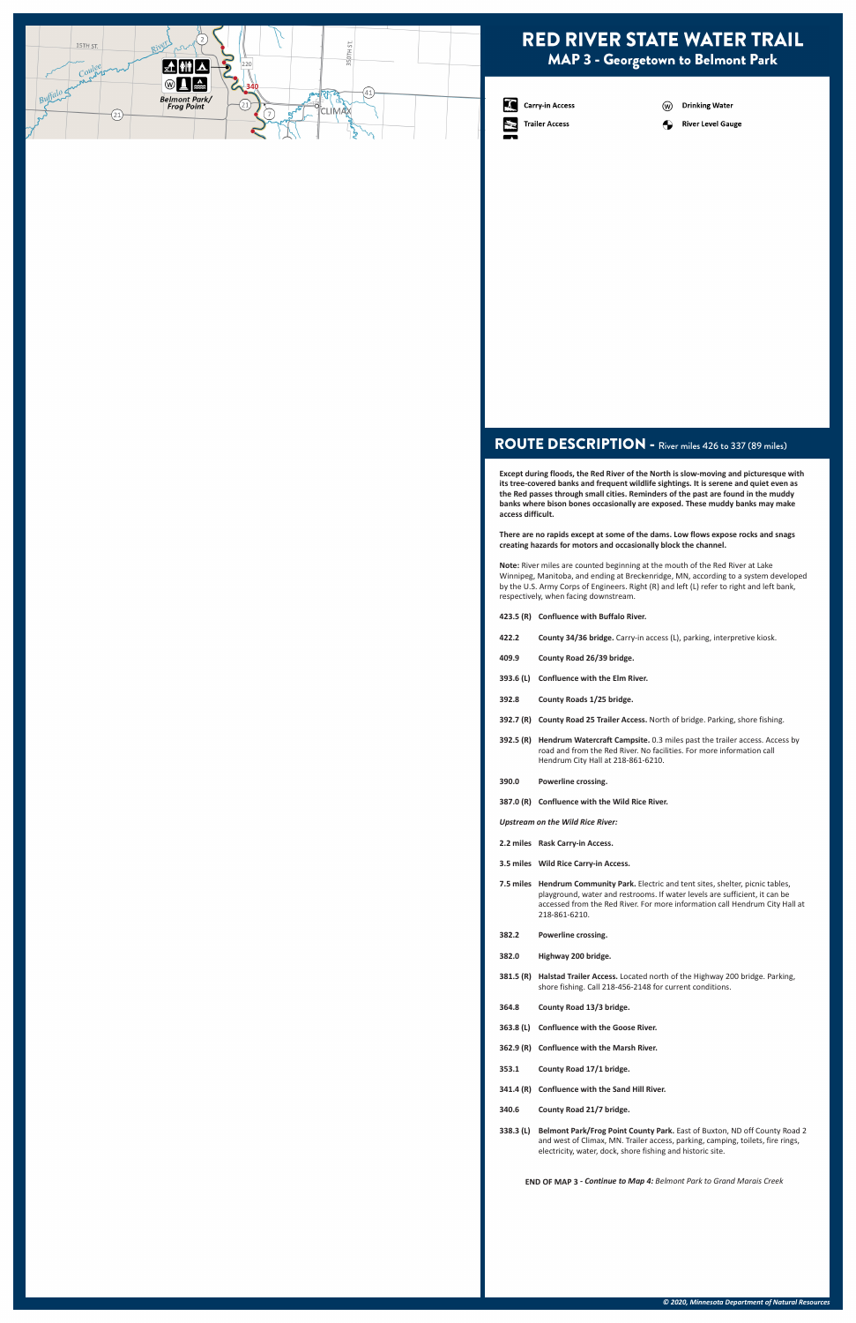### ROUTE DESCRIPTION - River miles 426 to 337 (89 miles)

**Except during floods, the Red River of the North is slow-moving and picturesque with its tree-covered banks and frequent wildlife sightings. It is serene and quiet even as the Red passes through small cities. Reminders of the past are found in the muddy banks where bison bones occasionally are exposed. These muddy banks may make access difficult.** 

**There are no rapids except at some of the dams. Low flows expose rocks and snags creating hazards for motors and occasionally block the channel.**

**Note:** River miles are counted beginning at the mouth of the Red River at Lake Winnipeg, Manitoba, and ending at Breckenridge, MN, according to a system developed by the U.S. Army Corps of Engineers. Right (R) and left (L) refer to right and left bank, respectively, when facing downstream.

**423.5 (R) Confluence with Buffalo River.** 

- **422.2 County 34/36 bridge.** Carry-in access (L), parking, interpretive kiosk.
- **409.9 County Road 26/39 bridge.**
- **393.6 (L) Confluence with the Elm River.**
- **392.8 County Roads 1/25 bridge.**
- **392.7 (R) County Road 25 Trailer Access.** North of bridge. Parking, shore fishing.
- **392.5 (R) Hendrum Watercraft Campsite.** 0.3 miles past the trailer access. Access by road and from the Red River. No facilities. For more information call Hendrum City Hall at 218-861-6210.
- **390.0 Powerline crossing.**
- **387.0 (R) Confluence with the Wild Rice River.**
- *Upstream on the Wild Rice River:*
- **2.2 miles Rask Carry-in Access.**
- **3.5 miles Wild Rice Carry-in Access.**
- **7.5 miles Hendrum Community Park.** Electric and tent sites, shelter, picnic tables, playground, water and restrooms. If water levels are sufficient, it can be accessed from the Red River. For more information call Hendrum City Hall at 218-861-6210.
- **382.2 Powerline crossing.**
- **382.0 Highway 200 bridge.**

|                                                                             | 381.5 (R) Halstad Trailer Access. Located north of the Highway 200 bridge. Parking,<br>shore fishing. Call 218-456-2148 for current conditions.                                                                           |
|-----------------------------------------------------------------------------|---------------------------------------------------------------------------------------------------------------------------------------------------------------------------------------------------------------------------|
| 364.8                                                                       | County Road 13/3 bridge.                                                                                                                                                                                                  |
| 363.8 (L)                                                                   | <b>Confluence with the Goose River.</b>                                                                                                                                                                                   |
|                                                                             | 362.9 (R) Confluence with the Marsh River.                                                                                                                                                                                |
| 353.1                                                                       | County Road 17/1 bridge.                                                                                                                                                                                                  |
|                                                                             | 341.4 (R) Confluence with the Sand Hill River.                                                                                                                                                                            |
| 340.6                                                                       | County Road 21/7 bridge.                                                                                                                                                                                                  |
| 338.3 (L)                                                                   | Belmont Park/Frog Point County Park. East of Buxton, ND off County Road 2<br>and west of Climax, MN. Trailer access, parking, camping, toilets, fire rings,<br>electricity, water, dock, shore fishing and historic site. |
| <b>END OF MAP 3 - Continue to Map 4: Belmont Park to Grand Marais Creek</b> |                                                                                                                                                                                                                           |
|                                                                             |                                                                                                                                                                                                                           |
|                                                                             |                                                                                                                                                                                                                           |
|                                                                             |                                                                                                                                                                                                                           |
|                                                                             |                                                                                                                                                                                                                           |
|                                                                             |                                                                                                                                                                                                                           |